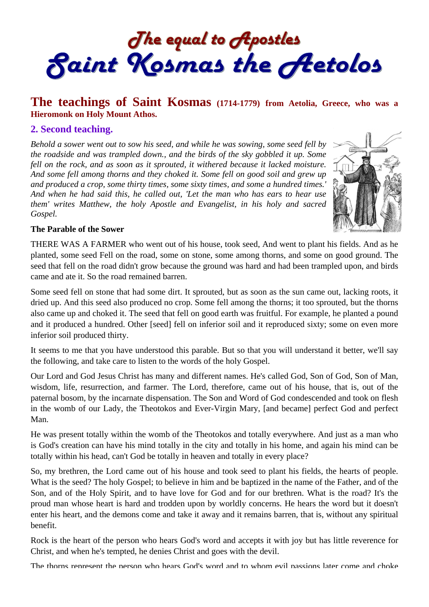The equal to Apostles<br>Saint Kosmas the Aetolos

# **The teachings of Saint Kosmas (1714-1779) from Aetolia, Greece, who was a Hieromonk on Holy Mount Athos.**

#### **2. Second teaching.**

*Behold a sower went out to sow his seed, and while he was sowing, some seed fell by the roadside and was trampled down., and the birds of the sky gobbled it up. Some fell on the rock, and as soon as it sprouted, it withered because it lacked moisture.*  And some fell among thorns and they choked it. Some fell on good soil and grew up *and produced a crop, some thirty times, some sixty times, and some a hundred times.' And when he had said this, he called out, 'Let the man who has ears to hear use them' writes Matthew, the holy Apostle and Evangelist, in his holy and sacred Gospel.* 



#### **The Parable of the Sower**

THERE WAS A FARMER who went out of his house, took seed, And went to plant his fields. And as he planted, some seed Fell on the road, some on stone, some among thorns, and some on good ground. The seed that fell on the road didn't grow because the ground was hard and had been trampled upon, and birds came and ate it. So the road remained barren.

Some seed fell on stone that had some dirt. It sprouted, but as soon as the sun came out, lacking roots, it dried up. And this seed also produced no crop. Some fell among the thorns; it too sprouted, but the thorns also came up and choked it. The seed that fell on good earth was fruitful. For example, he planted a pound and it produced a hundred. Other [seed] fell on inferior soil and it reproduced sixty; some on even more inferior soil produced thirty.

It seems to me that you have understood this parable. But so that you will understand it better, we'll say the following, and take care to listen to the words of the holy Gospel.

Our Lord and God Jesus Christ has many and different names. He's called God, Son of God, Son of Man, wisdom, life, resurrection, and farmer. The Lord, therefore, came out of his house, that is, out of the paternal bosom, by the incarnate dispensation. The Son and Word of God condescended and took on flesh in the womb of our Lady, the Theotokos and Ever-Virgin Mary, [and became] perfect God and perfect Man.

He was present totally within the womb of the Theotokos and totally everywhere. And just as a man who is God's creation can have his mind totally in the city and totally in his home, and again his mind can be totally within his head, can't God be totally in heaven and totally in every place?

So, my brethren, the Lord came out of his house and took seed to plant his fields, the hearts of people. What is the seed? The holy Gospel; to believe in him and be baptized in the name of the Father, and of the Son, and of the Holy Spirit, and to have love for God and for our brethren. What is the road? It's the proud man whose heart is hard and trodden upon by worldly concerns. He hears the word but it doesn't enter his heart, and the demons come and take it away and it remains barren, that is, without any spiritual benefit.

Rock is the heart of the person who hears God's word and accepts it with joy but has little reverence for Christ, and when he's tempted, he denies Christ and goes with the devil.

The thorns represent the person who hears God's word and to whom evil passions later come and choke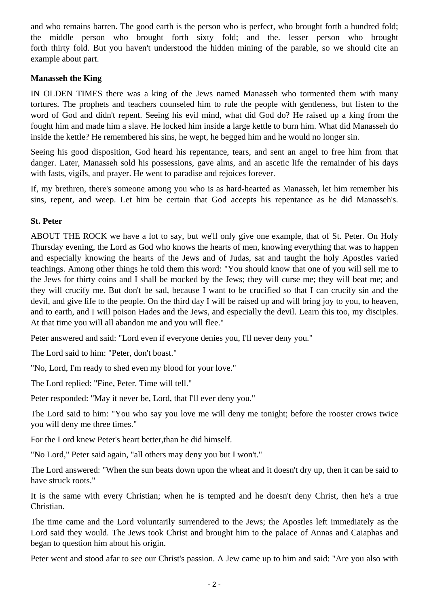and who remains barren. The good earth is the person who is perfect, who brought forth a hundred fold; the middle person who brought forth sixty fold; and the. lesser person who brought forth thirty fold. But you haven't understood the hidden mining of the parable, so we should cite an example about part.

### **Manasseh the King**

IN OLDEN TIMES there was a king of the Jews named Manasseh who tormented them with many tortures. The prophets and teachers counseled him to rule the people with gentleness, but listen to the word of God and didn't repent. Seeing his evil mind, what did God do? He raised up a king from the fought him and made him a slave. He locked him inside a large kettle to burn him. What did Manasseh do inside the kettle? He remembered his sins, he wept, he begged him and he would no longer sin.

Seeing his good disposition, God heard his repentance, tears, and sent an angel to free him from that danger. Later, Manasseh sold his possessions, gave alms, and an ascetic life the remainder of his days with fasts, vigils, and prayer. He went to paradise and rejoices forever.

If, my brethren, there's someone among you who is as hard-hearted as Manasseh, let him remember his sins, repent, and weep. Let him be certain that God accepts his repentance as he did Manasseh's.

## **St. Peter**

ABOUT THE ROCK we have a lot to say, but we'll only give one example, that of St. Peter. On Holy Thursday evening, the Lord as God who knows the hearts of men, knowing everything that was to happen and especially knowing the hearts of the Jews and of Judas, sat and taught the holy Apostles varied teachings. Among other things he told them this word: "You should know that one of you will sell me to the Jews for thirty coins and I shall be mocked by the Jews; they will curse me; they will beat me; and they will crucify me. But don't be sad, because I want to be crucified so that I can crucify sin and the devil, and give life to the people. On the third day I will be raised up and will bring joy to you, to heaven, and to earth, and I will poison Hades and the Jews, and especially the devil. Learn this too, my disciples. At that time you will all abandon me and you will flee."

Peter answered and said: "Lord even if everyone denies you, I'll never deny you."

The Lord said to him: "Peter, don't boast."

"No, Lord, I'm ready to shed even my blood for your love."

The Lord replied: "Fine, Peter. Time will tell."

Peter responded: "May it never be, Lord, that I'll ever deny you."

The Lord said to him: "You who say you love me will deny me tonight; before the rooster crows twice you will deny me three times."

For the Lord knew Peter's heart better,than he did himself.

"No Lord," Peter said again, "all others may deny you but I won't."

The Lord answered: "When the sun beats down upon the wheat and it doesn't dry up, then it can be said to have struck roots."

It is the same with every Christian; when he is tempted and he doesn't deny Christ, then he's a true Christian.

The time came and the Lord voluntarily surrendered to the Jews; the Apostles left immediately as the Lord said they would. The Jews took Christ and brought him to the palace of Annas and Caiaphas and began to question him about his origin.

Peter went and stood afar to see our Christ's passion. A Jew came up to him and said: "Are you also with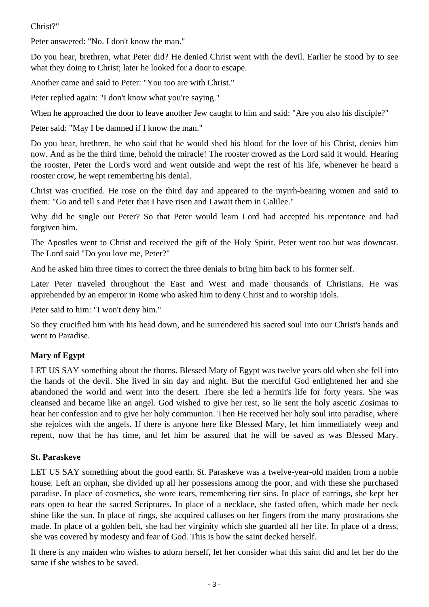### Christ?"

Peter answered: "No. I don't know the man."

Do you hear, brethren, what Peter did? He denied Christ went with the devil. Earlier he stood by to see what they doing to Christ; later he looked for a door to escape.

Another came and said to Peter: "You too are with Christ."

Peter replied again: "I don't know what you're saying."

When he approached the door to leave another Jew caught to him and said: "Are you also his disciple?"

Peter said: "May I be damned if I know the man."

Do you hear, brethren, he who said that he would shed his blood for the love of his Christ, denies him now. And as he the third time, behold the miracle! The rooster crowed as the Lord said it would. Hearing the rooster, Peter the Lord's word and went outside and wept the rest of his life, whenever he heard a rooster crow, he wept remembering his denial.

Christ was crucified. He rose on the third day and appeared to the myrrh-bearing women and said to them: "Go and tell s and Peter that I have risen and I await them in Galilee."

Why did he single out Peter? So that Peter would learn Lord had accepted his repentance and had forgiven him.

The Apostles went to Christ and received the gift of the Holy Spirit. Peter went too but was downcast. The Lord said "Do you love me, Peter?"

And he asked him three times to correct the three denials to bring him back to his former self.

Later Peter traveled throughout the East and West and made thousands of Christians. He was apprehended by an emperor in Rome who asked him to deny Christ and to worship idols.

Peter said to him: "I won't deny him."

So they crucified him with his head down, and he surrendered his sacred soul into our Christ's hands and went to Paradise.

## **Mary of Egypt**

LET US SAY something about the thorns. Blessed Mary of Egypt was twelve years old when she fell into the hands of the devil. She lived in sin day and night. But the merciful God enlightened her and she abandoned the world and went into the desert. There she led a hermit's life for forty years. She was cleansed and became like an angel. God wished to give her rest, so lie sent the holy ascetic Zosimas to hear her confession and to give her holy communion. Then He received her holy soul into paradise, where she rejoices with the angels. If there is anyone here like Blessed Mary, let him immediately weep and repent, now that he has time, and let him be assured that he will be saved as was Blessed Mary.

#### **St. Paraskeve**

LET US SAY something about the good earth. St. Paraskeve was a twelve-year-old maiden from a noble house. Left an orphan, she divided up all her possessions among the poor, and with these she purchased paradise. In place of cosmetics, she wore tears, remembering tier sins. In place of earrings, she kept her ears open to hear the sacred Scriptures. In place of a necklace, she fasted often, which made her neck shine like the sun. In place of rings, she acquired calluses on her fingers from the many prostrations she made. In place of a golden belt, she had her virginity which she guarded all her life. In place of a dress, she was covered by modesty and fear of God. This is how the saint decked herself.

If there is any maiden who wishes to adorn herself, let her consider what this saint did and let her do the same if she wishes to be saved.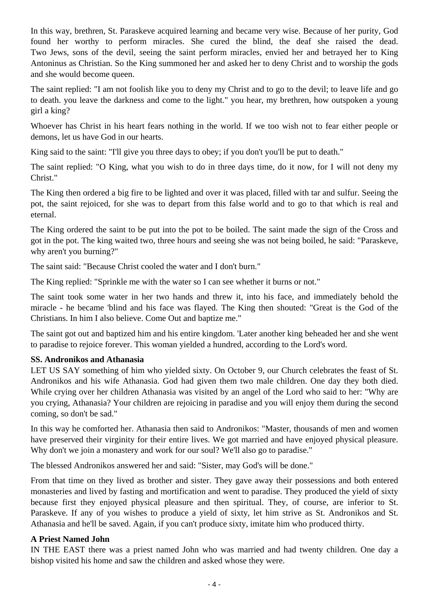In this way, brethren, St. Paraskeve acquired learning and became very wise. Because of her purity, God found her worthy to perform miracles. She cured the blind, the deaf she raised the dead. Two Jews, sons of the devil, seeing the saint perform miracles, envied her and betrayed her to King Antoninus as Christian. So the King summoned her and asked her to deny Christ and to worship the gods and she would become queen.

The saint replied: "I am not foolish like you to deny my Christ and to go to the devil; to leave life and go to death. you leave the darkness and come to the light." you hear, my brethren, how outspoken a young girl a king?

Whoever has Christ in his heart fears nothing in the world. If we too wish not to fear either people or demons, let us have God in our hearts.

King said to the saint: "I'll give you three days to obey; if you don't you'll be put to death."

The saint replied: "O King, what you wish to do in three days time, do it now, for I will not deny my Christ."

The King then ordered a big fire to be lighted and over it was placed, filled with tar and sulfur. Seeing the pot, the saint rejoiced, for she was to depart from this false world and to go to that which is real and eternal.

The King ordered the saint to be put into the pot to be boiled. The saint made the sign of the Cross and got in the pot. The king waited two, three hours and seeing she was not being boiled, he said: "Paraskeve, why aren't you burning?"

The saint said: "Because Christ cooled the water and I don't burn."

The King replied: "Sprinkle me with the water so I can see whether it burns or not."

The saint took some water in her two hands and threw it, into his face, and immediately behold the miracle - he became 'blind and his face was flayed. The King then shouted: "Great is the God of the Christians. In him I also believe. Come Out and baptize me."

The saint got out and baptized him and his entire kingdom. 'Later another king beheaded her and she went to paradise to rejoice forever. This woman yielded a hundred, according to the Lord's word.

#### **SS. Andronikos and Athanasia**

LET US SAY something of him who yielded sixty. On October 9, our Church celebrates the feast of St. Andronikos and his wife Athanasia. God had given them two male children. One day they both died. While crying over her children Athanasia was visited by an angel of the Lord who said to her: "Why are you crying, Athanasia? Your children are rejoicing in paradise and you will enjoy them during the second coming, so don't be sad."

In this way he comforted her. Athanasia then said to Andronikos: "Master, thousands of men and women have preserved their virginity for their entire lives. We got married and have enjoyed physical pleasure. Why don't we join a monastery and work for our soul? We'll also go to paradise."

The blessed Andronikos answered her and said: "Sister, may God's will be done."

From that time on they lived as brother and sister. They gave away their possessions and both entered monasteries and lived by fasting and mortification and went to paradise. They produced the yield of sixty because first they enjoyed physical pleasure and then spiritual. They, of course, are inferior to St. Paraskeve. If any of you wishes to produce a yield of sixty, let him strive as St. Andronikos and St. Athanasia and he'll be saved. Again, if you can't produce sixty, imitate him who produced thirty.

#### **A Priest Named John**

IN THE EAST there was a priest named John who was married and had twenty children. One day a bishop visited his home and saw the children and asked whose they were.